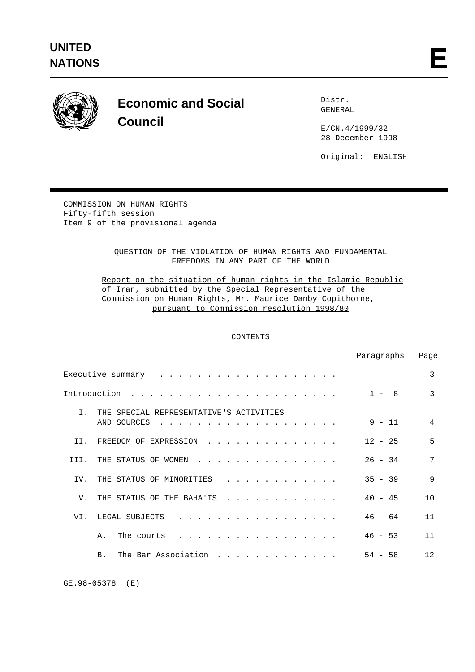

# **Economic and Social Council**

 Distr. GENERAL

 E/CN.4/1999/32 28 December 1998

Original: ENGLISH

COMMISSION ON HUMAN RIGHTS Fifty-fifth session Item 9 of the provisional agenda

> QUESTION OF THE VIOLATION OF HUMAN RIGHTS AND FUNDAMENTAL FREEDOMS IN ANY PART OF THE WORLD

 Report on the situation of human rights in the Islamic Republic of Iran, submitted by the Special Representative of the Commission on Human Rights, Mr. Maurice Danby Copithorne, pursuant to Commission resolution 1998/80

# CONTENTS

|                                                                                                                                                                                                                                                                                                               | Paragraphs   | Page           |
|---------------------------------------------------------------------------------------------------------------------------------------------------------------------------------------------------------------------------------------------------------------------------------------------------------------|--------------|----------------|
|                                                                                                                                                                                                                                                                                                               |              | 3              |
| Introduction                                                                                                                                                                                                                                                                                                  | $1 -$<br>- 8 | $\mathcal{E}$  |
| $T_{\perp}$<br>THE SPECIAL REPRESENTATIVE'S ACTIVITIES<br>AND SOURCES<br><u>in the series of the series of the series of the series of the series of the series of the series of the series of the series of the series of the series of the series of the series of the series of the series of the seri</u> | $9 - 11$     | $\overline{4}$ |
| TT.<br>FREEDOM OF EXPRESSION<br>$\frac{1}{2}$ , $\frac{1}{2}$ , $\frac{1}{2}$ , $\frac{1}{2}$ , $\frac{1}{2}$ , $\frac{1}{2}$ , $\frac{1}{2}$ , $\frac{1}{2}$ , $\frac{1}{2}$ , $\frac{1}{2}$                                                                                                                 | $12 - 25$    | 5              |
| THE STATUS OF WOMEN<br>TTT.<br>$\frac{1}{2}$ , $\frac{1}{2}$ , $\frac{1}{2}$ , $\frac{1}{2}$ , $\frac{1}{2}$ , $\frac{1}{2}$ , $\frac{1}{2}$ , $\frac{1}{2}$ , $\frac{1}{2}$ , $\frac{1}{2}$ , $\frac{1}{2}$                                                                                                  | $26 - 34$    | 7              |
| TV.<br>THE STATUS OF MINORITIES<br>.                                                                                                                                                                                                                                                                          | $35 - 39$    | 9              |
| $V_{\perp}$<br>THE STATUS OF THE BAHA'IS<br><u>na kana kana kana kana kana</u>                                                                                                                                                                                                                                | $40 - 45$    | 10             |
| VI.<br>LEGAL SUBJECTS<br>.                                                                                                                                                                                                                                                                                    | $46 - 64$    | 11             |
| Α.<br>The courts<br>$\frac{1}{2}$                                                                                                                                                                                                                                                                             | $46 - 53$    | 11             |
| The Bar Association<br><b>B</b> .                                                                                                                                                                                                                                                                             | $54 - 58$    | 12             |

GE.98-05378 (E)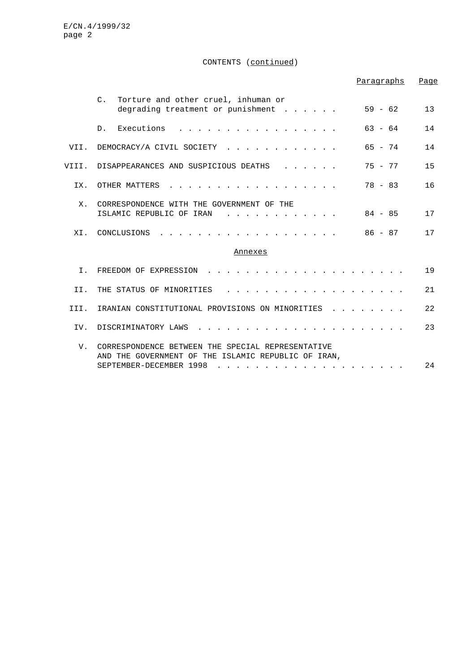# CONTENTS (continued)

|             |                                                                                                                                     | Paragraphs | Page |
|-------------|-------------------------------------------------------------------------------------------------------------------------------------|------------|------|
|             | Torture and other cruel, inhuman or<br>$C_{\cdot}$<br>degrading treatment or punishment                                             | $59 - 62$  | 13   |
|             | Executions<br>$D$ .                                                                                                                 | $63 - 64$  | 14   |
| VII.        | DEMOCRACY/A CIVIL SOCIETY                                                                                                           | $65 - 74$  | 14   |
| VIII.       | DISAPPEARANCES AND SUSPICIOUS DEATHS                                                                                                | $75 - 77$  | 15   |
| IX.         | OTHER MATTERS                                                                                                                       | $78 - 83$  | 16   |
| $X_{\cdot}$ | CORRESPONDENCE WITH THE GOVERNMENT OF THE<br>ISLAMIC REPUBLIC OF IRAN                                                               | $84 - 85$  | 17   |
| XI.         | CONCLUSIONS                                                                                                                         | $86 - 87$  | 17   |
|             | Annexes                                                                                                                             |            |      |
| I.          | FREEDOM OF EXPRESSION                                                                                                               |            | 19   |
| II.         | THE STATUS OF MINORITIES                                                                                                            |            | 21   |
| III.        | IRANIAN CONSTITUTIONAL PROVISIONS ON MINORITIES                                                                                     |            | 22   |
| IV.         | DISCRIMINATORY LAWS                                                                                                                 |            | 23   |
| V.          | CORRESPONDENCE BETWEEN THE SPECIAL REPRESENTATIVE<br>AND THE GOVERNMENT OF THE ISLAMIC REPUBLIC OF IRAN.<br>SEPTEMBER-DECEMBER 1998 |            | 24   |
|             |                                                                                                                                     |            |      |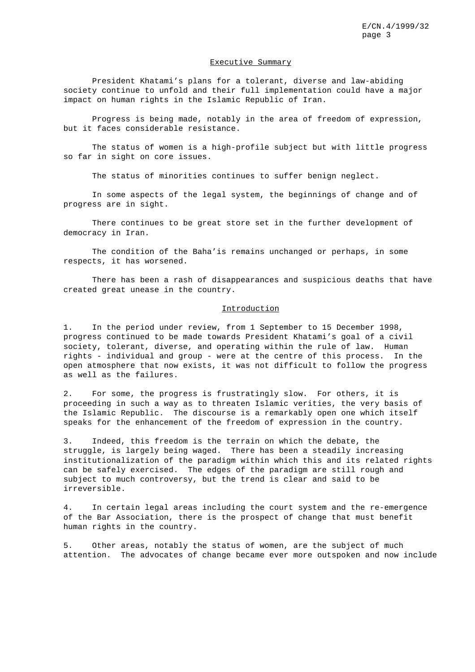#### Executive Summary

President Khatami's plans for a tolerant, diverse and law-abiding society continue to unfold and their full implementation could have a major impact on human rights in the Islamic Republic of Iran.

Progress is being made, notably in the area of freedom of expression, but it faces considerable resistance.

The status of women is a high-profile subject but with little progress so far in sight on core issues.

The status of minorities continues to suffer benign neglect.

In some aspects of the legal system, the beginnings of change and of progress are in sight.

There continues to be great store set in the further development of democracy in Iran.

The condition of the Baha'is remains unchanged or perhaps, in some respects, it has worsened.

There has been a rash of disappearances and suspicious deaths that have created great unease in the country.

## Introduction

1. In the period under review, from 1 September to 15 December 1998, progress continued to be made towards President Khatami's goal of a civil society, tolerant, diverse, and operating within the rule of law. Human rights - individual and group - were at the centre of this process. In the open atmosphere that now exists, it was not difficult to follow the progress as well as the failures.

2. For some, the progress is frustratingly slow. For others, it is proceeding in such a way as to threaten Islamic verities, the very basis of the Islamic Republic. The discourse is a remarkably open one which itself speaks for the enhancement of the freedom of expression in the country.

3. Indeed, this freedom is the terrain on which the debate, the struggle, is largely being waged. There has been a steadily increasing institutionalization of the paradigm within which this and its related rights can be safely exercised. The edges of the paradigm are still rough and subject to much controversy, but the trend is clear and said to be irreversible.

4. In certain legal areas including the court system and the re-emergence of the Bar Association, there is the prospect of change that must benefit human rights in the country.

5. Other areas, notably the status of women, are the subject of much attention. The advocates of change became ever more outspoken and now include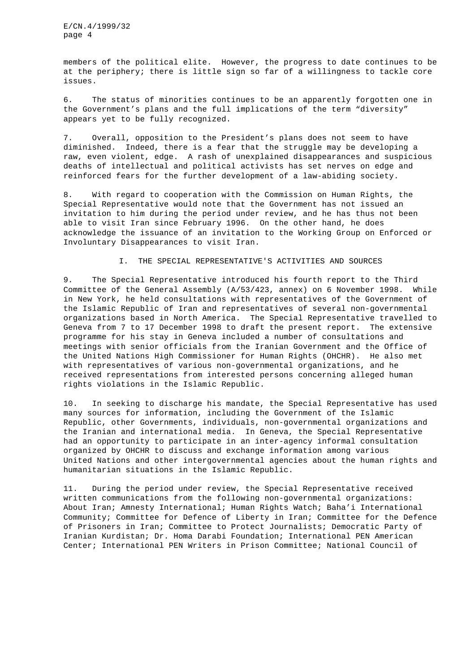members of the political elite. However, the progress to date continues to be at the periphery; there is little sign so far of a willingness to tackle core issues.

6. The status of minorities continues to be an apparently forgotten one in the Government's plans and the full implications of the term "diversity" appears yet to be fully recognized.

7. Overall, opposition to the President's plans does not seem to have diminished. Indeed, there is a fear that the struggle may be developing a raw, even violent, edge. A rash of unexplained disappearances and suspicious deaths of intellectual and political activists has set nerves on edge and reinforced fears for the further development of a law-abiding society.

8. With regard to cooperation with the Commission on Human Rights, the Special Representative would note that the Government has not issued an invitation to him during the period under review, and he has thus not been able to visit Iran since February 1996. On the other hand, he does acknowledge the issuance of an invitation to the Working Group on Enforced or Involuntary Disappearances to visit Iran.

# I. THE SPECIAL REPRESENTATIVE'S ACTIVITIES AND SOURCES

9. The Special Representative introduced his fourth report to the Third Committee of the General Assembly (A/53/423, annex) on 6 November 1998. While in New York, he held consultations with representatives of the Government of the Islamic Republic of Iran and representatives of several non-governmental organizations based in North America. The Special Representative travelled to Geneva from 7 to 17 December 1998 to draft the present report. The extensive programme for his stay in Geneva included a number of consultations and meetings with senior officials from the Iranian Government and the Office of the United Nations High Commissioner for Human Rights (OHCHR). He also met with representatives of various non-governmental organizations, and he received representations from interested persons concerning alleged human rights violations in the Islamic Republic.

10. In seeking to discharge his mandate, the Special Representative has used many sources for information, including the Government of the Islamic Republic, other Governments, individuals, non-governmental organizations and the Iranian and international media. In Geneva, the Special Representative had an opportunity to participate in an inter-agency informal consultation organized by OHCHR to discuss and exchange information among various United Nations and other intergovernmental agencies about the human rights and humanitarian situations in the Islamic Republic.

11. During the period under review, the Special Representative received written communications from the following non-governmental organizations: About Iran; Amnesty International; Human Rights Watch; Baha'i International Community; Committee for Defence of Liberty in Iran; Committee for the Defence of Prisoners in Iran; Committee to Protect Journalists; Democratic Party of Iranian Kurdistan; Dr. Homa Darabi Foundation; International PEN American Center; International PEN Writers in Prison Committee; National Council of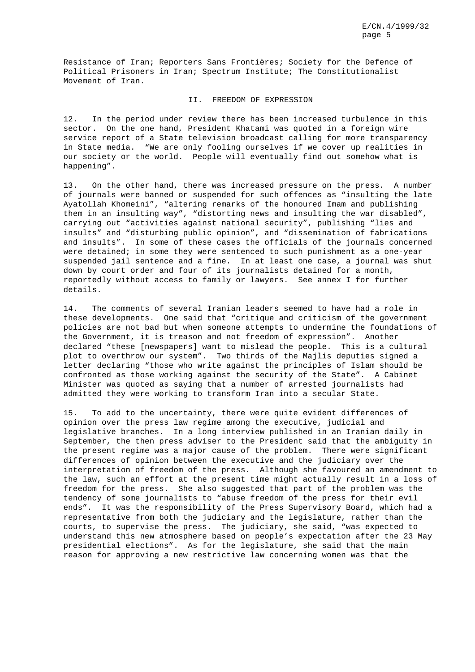Resistance of Iran; Reporters Sans Frontières; Society for the Defence of Political Prisoners in Iran; Spectrum Institute; The Constitutionalist Movement of Iran.

# II. FREEDOM OF EXPRESSION

12. In the period under review there has been increased turbulence in this sector. On the one hand, President Khatami was quoted in a foreign wire service report of a State television broadcast calling for more transparency in State media. "We are only fooling ourselves if we cover up realities in our society or the world. People will eventually find out somehow what is happening".

13. On the other hand, there was increased pressure on the press. A number of journals were banned or suspended for such offences as "insulting the late Ayatollah Khomeini", "altering remarks of the honoured Imam and publishing them in an insulting way", "distorting news and insulting the war disabled", carrying out "activities against national security", publishing "lies and insults" and "disturbing public opinion", and "dissemination of fabrications and insults". In some of these cases the officials of the journals concerned were detained; in some they were sentenced to such punishment as a one-year suspended jail sentence and a fine. In at least one case, a journal was shut down by court order and four of its journalists detained for a month, reportedly without access to family or lawyers. See annex I for further details.

14. The comments of several Iranian leaders seemed to have had a role in these developments. One said that "critique and criticism of the government policies are not bad but when someone attempts to undermine the foundations of the Government, it is treason and not freedom of expression". Another declared "these [newspapers] want to mislead the people. This is a cultural plot to overthrow our system". Two thirds of the Majlis deputies signed a letter declaring "those who write against the principles of Islam should be confronted as those working against the security of the State". A Cabinet Minister was quoted as saying that a number of arrested journalists had admitted they were working to transform Iran into a secular State.

15. To add to the uncertainty, there were quite evident differences of opinion over the press law regime among the executive, judicial and legislative branches. In a long interview published in an Iranian daily in September, the then press adviser to the President said that the ambiguity in the present regime was a major cause of the problem. There were significant differences of opinion between the executive and the judiciary over the interpretation of freedom of the press. Although she favoured an amendment to the law, such an effort at the present time might actually result in a loss of freedom for the press. She also suggested that part of the problem was the tendency of some journalists to "abuse freedom of the press for their evil ends". It was the responsibility of the Press Supervisory Board, which had a representative from both the judiciary and the legislature, rather than the courts, to supervise the press. The judiciary, she said, "was expected to understand this new atmosphere based on people's expectation after the 23 May presidential elections". As for the legislature, she said that the main reason for approving a new restrictive law concerning women was that the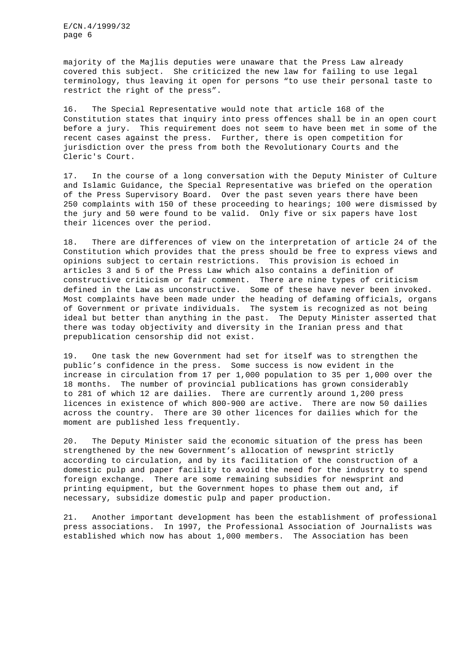majority of the Majlis deputies were unaware that the Press Law already covered this subject. She criticized the new law for failing to use legal terminology, thus leaving it open for persons "to use their personal taste to restrict the right of the press".

16. The Special Representative would note that article 168 of the Constitution states that inquiry into press offences shall be in an open court before a jury. This requirement does not seem to have been met in some of the recent cases against the press. Further, there is open competition for jurisdiction over the press from both the Revolutionary Courts and the Cleric's Court.

17. In the course of a long conversation with the Deputy Minister of Culture and Islamic Guidance, the Special Representative was briefed on the operation of the Press Supervisory Board. Over the past seven years there have been 250 complaints with 150 of these proceeding to hearings; 100 were dismissed by the jury and 50 were found to be valid. Only five or six papers have lost their licences over the period.

18. There are differences of view on the interpretation of article 24 of the Constitution which provides that the press should be free to express views and opinions subject to certain restrictions. This provision is echoed in articles 3 and 5 of the Press Law which also contains a definition of constructive criticism or fair comment. There are nine types of criticism defined in the Law as unconstructive. Some of these have never been invoked. Most complaints have been made under the heading of defaming officials, organs of Government or private individuals. The system is recognized as not being ideal but better than anything in the past. The Deputy Minister asserted that there was today objectivity and diversity in the Iranian press and that prepublication censorship did not exist.

19. One task the new Government had set for itself was to strengthen the public's confidence in the press. Some success is now evident in the increase in circulation from 17 per 1,000 population to 35 per 1,000 over the 18 months. The number of provincial publications has grown considerably to 281 of which 12 are dailies. There are currently around 1,200 press licences in existence of which 800-900 are active. There are now 50 dailies across the country. There are 30 other licences for dailies which for the moment are published less frequently.

20. The Deputy Minister said the economic situation of the press has been strengthened by the new Government's allocation of newsprint strictly according to circulation, and by its facilitation of the construction of a domestic pulp and paper facility to avoid the need for the industry to spend foreign exchange. There are some remaining subsidies for newsprint and printing equipment, but the Government hopes to phase them out and, if necessary, subsidize domestic pulp and paper production.

21. Another important development has been the establishment of professional press associations. In 1997, the Professional Association of Journalists was established which now has about 1,000 members. The Association has been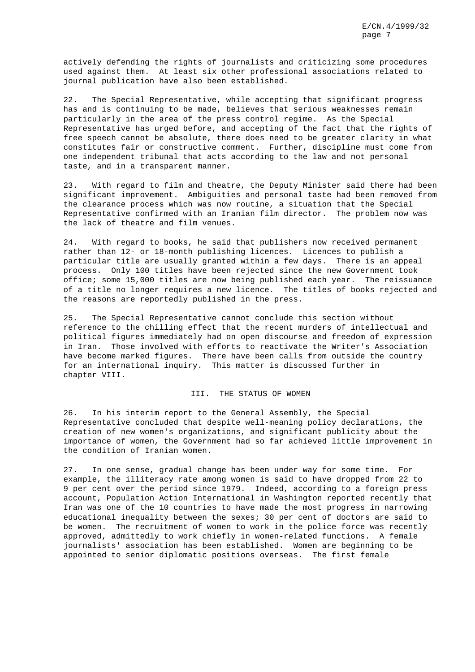actively defending the rights of journalists and criticizing some procedures used against them. At least six other professional associations related to journal publication have also been established.

22. The Special Representative, while accepting that significant progress has and is continuing to be made, believes that serious weaknesses remain particularly in the area of the press control regime. As the Special Representative has urged before, and accepting of the fact that the rights of free speech cannot be absolute, there does need to be greater clarity in what constitutes fair or constructive comment. Further, discipline must come from one independent tribunal that acts according to the law and not personal taste, and in a transparent manner.

23. With regard to film and theatre, the Deputy Minister said there had been significant improvement. Ambiguities and personal taste had been removed from the clearance process which was now routine, a situation that the Special Representative confirmed with an Iranian film director. The problem now was the lack of theatre and film venues.

24. With regard to books, he said that publishers now received permanent rather than 12- or 18-month publishing licences. Licences to publish a particular title are usually granted within a few days. There is an appeal process. Only 100 titles have been rejected since the new Government took office; some 15,000 titles are now being published each year. The reissuance of a title no longer requires a new licence. The titles of books rejected and the reasons are reportedly published in the press.

25. The Special Representative cannot conclude this section without reference to the chilling effect that the recent murders of intellectual and political figures immediately had on open discourse and freedom of expression in Iran. Those involved with efforts to reactivate the Writer's Association have become marked figures. There have been calls from outside the country for an international inquiry. This matter is discussed further in chapter VIII.

# III. THE STATUS OF WOMEN

26. In his interim report to the General Assembly, the Special Representative concluded that despite well-meaning policy declarations, the creation of new women's organizations, and significant publicity about the importance of women, the Government had so far achieved little improvement in the condition of Iranian women.

27. In one sense, gradual change has been under way for some time. For example, the illiteracy rate among women is said to have dropped from 22 to 9 per cent over the period since 1979. Indeed, according to a foreign press account, Population Action International in Washington reported recently that Iran was one of the 10 countries to have made the most progress in narrowing educational inequality between the sexes; 30 per cent of doctors are said to be women. The recruitment of women to work in the police force was recently approved, admittedly to work chiefly in women-related functions. A female journalists' association has been established. Women are beginning to be appointed to senior diplomatic positions overseas. The first female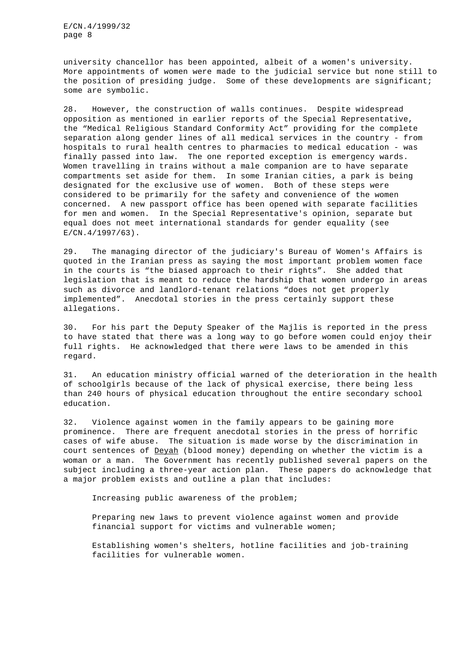university chancellor has been appointed, albeit of a women's university. More appointments of women were made to the judicial service but none still to the position of presiding judge. Some of these developments are significant; some are symbolic.

28. However, the construction of walls continues. Despite widespread opposition as mentioned in earlier reports of the Special Representative, the "Medical Religious Standard Conformity Act" providing for the complete separation along gender lines of all medical services in the country - from hospitals to rural health centres to pharmacies to medical education - was finally passed into law. The one reported exception is emergency wards. Women travelling in trains without a male companion are to have separate compartments set aside for them. In some Iranian cities, a park is being designated for the exclusive use of women. Both of these steps were considered to be primarily for the safety and convenience of the women concerned. A new passport office has been opened with separate facilities for men and women. In the Special Representative's opinion, separate but equal does not meet international standards for gender equality (see  $E/CN.4/1997/63$ ).

29. The managing director of the judiciary's Bureau of Women's Affairs is quoted in the Iranian press as saying the most important problem women face in the courts is "the biased approach to their rights". She added that legislation that is meant to reduce the hardship that women undergo in areas such as divorce and landlord-tenant relations "does not get properly implemented". Anecdotal stories in the press certainly support these allegations.

30. For his part the Deputy Speaker of the Majlis is reported in the press to have stated that there was a long way to go before women could enjoy their full rights. He acknowledged that there were laws to be amended in this regard.

31. An education ministry official warned of the deterioration in the health of schoolgirls because of the lack of physical exercise, there being less than 240 hours of physical education throughout the entire secondary school education.

32. Violence against women in the family appears to be gaining more prominence. There are frequent anecdotal stories in the press of horrific cases of wife abuse. The situation is made worse by the discrimination in court sentences of Deyah (blood money) depending on whether the victim is a woman or a man. The Government has recently published several papers on the subject including a three-year action plan. These papers do acknowledge that a major problem exists and outline a plan that includes:

Increasing public awareness of the problem;

Preparing new laws to prevent violence against women and provide financial support for victims and vulnerable women;

Establishing women's shelters, hotline facilities and job-training facilities for vulnerable women.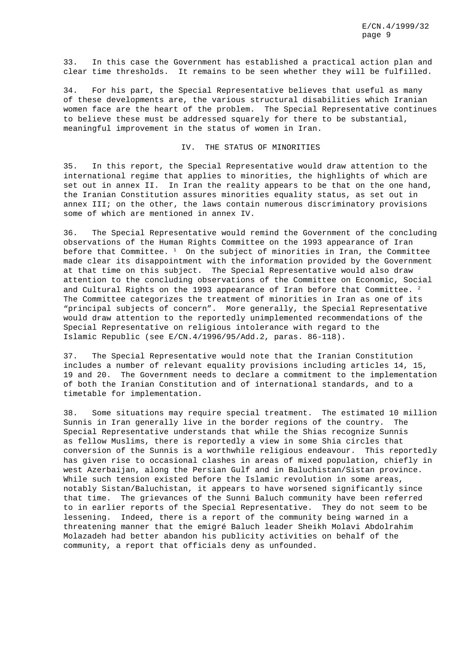33. In this case the Government has established a practical action plan and clear time thresholds. It remains to be seen whether they will be fulfilled.

34. For his part, the Special Representative believes that useful as many of these developments are, the various structural disabilities which Iranian women face are the heart of the problem. The Special Representative continues to believe these must be addressed squarely for there to be substantial, meaningful improvement in the status of women in Iran.

#### IV. THE STATUS OF MINORITIES

35. In this report, the Special Representative would draw attention to the international regime that applies to minorities, the highlights of which are set out in annex II. In Iran the reality appears to be that on the one hand, the Iranian Constitution assures minorities equality status, as set out in annex III; on the other, the laws contain numerous discriminatory provisions some of which are mentioned in annex IV.

36. The Special Representative would remind the Government of the concluding observations of the Human Rights Committee on the 1993 appearance of Iran before that Committee.  $1$  On the subject of minorities in Iran, the Committee made clear its disappointment with the information provided by the Government at that time on this subject. The Special Representative would also draw attention to the concluding observations of the Committee on Economic, Social and Cultural Rights on the 1993 appearance of Iran before that Committee.  $^2$ The Committee categorizes the treatment of minorities in Iran as one of its "principal subjects of concern". More generally, the Special Representative would draw attention to the reportedly unimplemented recommendations of the Special Representative on religious intolerance with regard to the Islamic Republic (see E/CN.4/1996/95/Add.2, paras. 86-118).

37. The Special Representative would note that the Iranian Constitution includes a number of relevant equality provisions including articles 14, 15, 19 and 20. The Government needs to declare a commitment to the implementation of both the Iranian Constitution and of international standards, and to a timetable for implementation.

38. Some situations may require special treatment. The estimated 10 million Sunnis in Iran generally live in the border regions of the country. The Special Representative understands that while the Shias recognize Sunnis as fellow Muslims, there is reportedly a view in some Shia circles that conversion of the Sunnis is a worthwhile religious endeavour. This reportedly has given rise to occasional clashes in areas of mixed population, chiefly in west Azerbaijan, along the Persian Gulf and in Baluchistan/Sistan province. While such tension existed before the Islamic revolution in some areas, notably Sistan/Baluchistan, it appears to have worsened significantly since that time. The grievances of the Sunni Baluch community have been referred to in earlier reports of the Special Representative. They do not seem to be lessening. Indeed, there is a report of the community being warned in a threatening manner that the emigré Baluch leader Sheikh Molavi Abdolrahim Molazadeh had better abandon his publicity activities on behalf of the community, a report that officials deny as unfounded.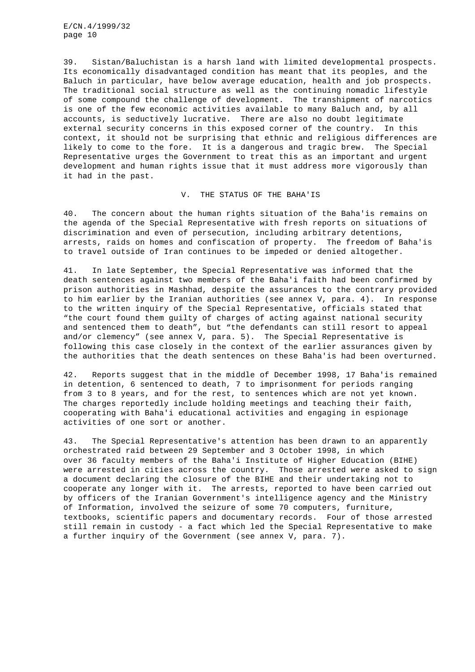39. Sistan/Baluchistan is a harsh land with limited developmental prospects. Its economically disadvantaged condition has meant that its peoples, and the Baluch in particular, have below average education, health and job prospects. The traditional social structure as well as the continuing nomadic lifestyle of some compound the challenge of development. The transhipment of narcotics is one of the few economic activities available to many Baluch and, by all accounts, is seductively lucrative. There are also no doubt legitimate external security concerns in this exposed corner of the country. In this context, it should not be surprising that ethnic and religious differences are likely to come to the fore. It is a dangerous and tragic brew. The Special Representative urges the Government to treat this as an important and urgent development and human rights issue that it must address more vigorously than it had in the past.

## V. THE STATUS OF THE BAHA'IS

40. The concern about the human rights situation of the Baha'is remains on the agenda of the Special Representative with fresh reports on situations of discrimination and even of persecution, including arbitrary detentions, arrests, raids on homes and confiscation of property. The freedom of Baha'is to travel outside of Iran continues to be impeded or denied altogether.

41. In late September, the Special Representative was informed that the death sentences against two members of the Baha'i faith had been confirmed by prison authorities in Mashhad, despite the assurances to the contrary provided to him earlier by the Iranian authorities (see annex V, para. 4). In response to the written inquiry of the Special Representative, officials stated that "the court found them guilty of charges of acting against national security and sentenced them to death", but "the defendants can still resort to appeal and/or clemency" (see annex V, para. 5). The Special Representative is following this case closely in the context of the earlier assurances given by the authorities that the death sentences on these Baha'is had been overturned.

42. Reports suggest that in the middle of December 1998, 17 Baha'is remained in detention, 6 sentenced to death, 7 to imprisonment for periods ranging from 3 to 8 years, and for the rest, to sentences which are not yet known. The charges reportedly include holding meetings and teaching their faith, cooperating with Baha'i educational activities and engaging in espionage activities of one sort or another.

43. The Special Representative's attention has been drawn to an apparently orchestrated raid between 29 September and 3 October 1998, in which over 36 faculty members of the Baha'i Institute of Higher Education (BIHE) were arrested in cities across the country. Those arrested were asked to sign a document declaring the closure of the BIHE and their undertaking not to cooperate any longer with it. The arrests, reported to have been carried out by officers of the Iranian Government's intelligence agency and the Ministry of Information, involved the seizure of some 70 computers, furniture, textbooks, scientific papers and documentary records. Four of those arrested still remain in custody - a fact which led the Special Representative to make a further inquiry of the Government (see annex V, para. 7).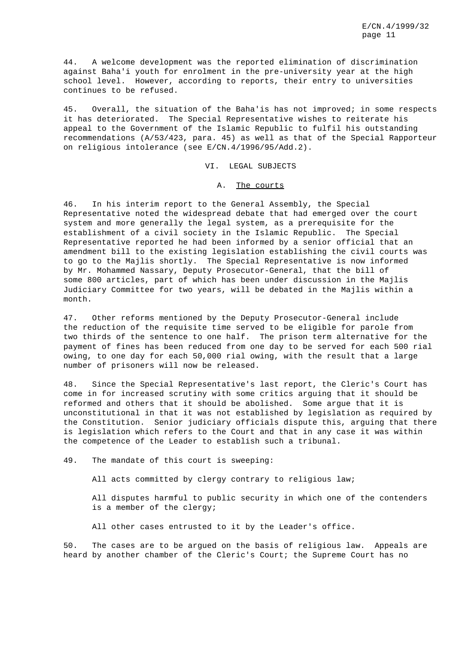44. A welcome development was the reported elimination of discrimination against Baha'i youth for enrolment in the pre-university year at the high school level. However, according to reports, their entry to universities continues to be refused.

45. Overall, the situation of the Baha'is has not improved; in some respects it has deteriorated. The Special Representative wishes to reiterate his appeal to the Government of the Islamic Republic to fulfil his outstanding recommendations (A/53/423, para. 45) as well as that of the Special Rapporteur on religious intolerance (see E/CN.4/1996/95/Add.2).

## VI. LEGAL SUBJECTS

#### A. The courts

46. In his interim report to the General Assembly, the Special Representative noted the widespread debate that had emerged over the court system and more generally the legal system, as a prerequisite for the establishment of a civil society in the Islamic Republic. The Special Representative reported he had been informed by a senior official that an amendment bill to the existing legislation establishing the civil courts was to go to the Majlis shortly. The Special Representative is now informed by Mr. Mohammed Nassary, Deputy Prosecutor-General, that the bill of some 800 articles, part of which has been under discussion in the Majlis Judiciary Committee for two years, will be debated in the Majlis within a month.

47. Other reforms mentioned by the Deputy Prosecutor-General include the reduction of the requisite time served to be eligible for parole from two thirds of the sentence to one half. The prison term alternative for the payment of fines has been reduced from one day to be served for each 500 rial owing, to one day for each 50,000 rial owing, with the result that a large number of prisoners will now be released.

48. Since the Special Representative's last report, the Cleric's Court has come in for increased scrutiny with some critics arguing that it should be reformed and others that it should be abolished. Some argue that it is unconstitutional in that it was not established by legislation as required by the Constitution. Senior judiciary officials dispute this, arguing that there is legislation which refers to the Court and that in any case it was within the competence of the Leader to establish such a tribunal.

49. The mandate of this court is sweeping:

All acts committed by clergy contrary to religious law;

All disputes harmful to public security in which one of the contenders is a member of the clergy;

All other cases entrusted to it by the Leader's office.

50. The cases are to be argued on the basis of religious law. Appeals are heard by another chamber of the Cleric's Court; the Supreme Court has no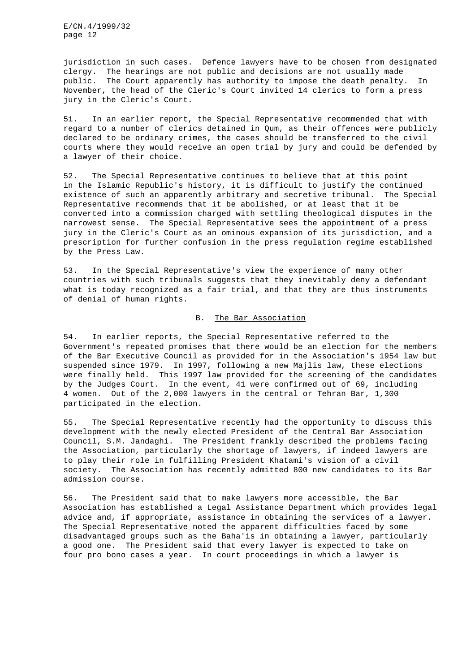jurisdiction in such cases. Defence lawyers have to be chosen from designated clergy. The hearings are not public and decisions are not usually made public. The Court apparently has authority to impose the death penalty. In November, the head of the Cleric's Court invited 14 clerics to form a press jury in the Cleric's Court.

51. In an earlier report, the Special Representative recommended that with regard to a number of clerics detained in Qum, as their offences were publicly declared to be ordinary crimes, the cases should be transferred to the civil courts where they would receive an open trial by jury and could be defended by a lawyer of their choice.

52. The Special Representative continues to believe that at this point in the Islamic Republic's history, it is difficult to justify the continued existence of such an apparently arbitrary and secretive tribunal. The Special Representative recommends that it be abolished, or at least that it be converted into a commission charged with settling theological disputes in the narrowest sense. The Special Representative sees the appointment of a press jury in the Cleric's Court as an ominous expansion of its jurisdiction, and a prescription for further confusion in the press regulation regime established by the Press Law.

53. In the Special Representative's view the experience of many other countries with such tribunals suggests that they inevitably deny a defendant what is today recognized as a fair trial, and that they are thus instruments of denial of human rights.

## B. The Bar Association

54. In earlier reports, the Special Representative referred to the Government's repeated promises that there would be an election for the members of the Bar Executive Council as provided for in the Association's 1954 law but suspended since 1979. In 1997, following a new Majlis law, these elections were finally held. This 1997 law provided for the screening of the candidates by the Judges Court. In the event, 41 were confirmed out of 69, including 4 women. Out of the 2,000 lawyers in the central or Tehran Bar, 1,300 participated in the election.

55. The Special Representative recently had the opportunity to discuss this development with the newly elected President of the Central Bar Association Council, S.M. Jandaghi. The President frankly described the problems facing the Association, particularly the shortage of lawyers, if indeed lawyers are to play their role in fulfilling President Khatami's vision of a civil society. The Association has recently admitted 800 new candidates to its Bar admission course.

56. The President said that to make lawyers more accessible, the Bar Association has established a Legal Assistance Department which provides legal advice and, if appropriate, assistance in obtaining the services of a lawyer. The Special Representative noted the apparent difficulties faced by some disadvantaged groups such as the Baha'is in obtaining a lawyer, particularly a good one. The President said that every lawyer is expected to take on four pro bono cases a year. In court proceedings in which a lawyer is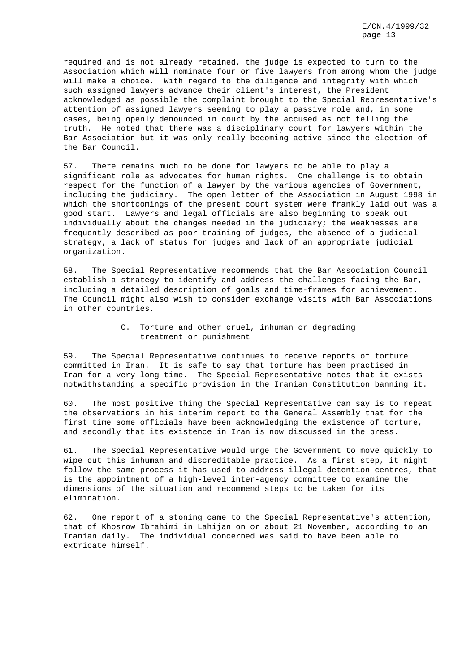required and is not already retained, the judge is expected to turn to the Association which will nominate four or five lawyers from among whom the judge will make a choice. With regard to the diligence and integrity with which such assigned lawyers advance their client's interest, the President acknowledged as possible the complaint brought to the Special Representative's attention of assigned lawyers seeming to play a passive role and, in some cases, being openly denounced in court by the accused as not telling the truth. He noted that there was a disciplinary court for lawyers within the Bar Association but it was only really becoming active since the election of the Bar Council.

57. There remains much to be done for lawyers to be able to play a significant role as advocates for human rights. One challenge is to obtain respect for the function of a lawyer by the various agencies of Government, including the judiciary. The open letter of the Association in August 1998 in which the shortcomings of the present court system were frankly laid out was a good start. Lawyers and legal officials are also beginning to speak out individually about the changes needed in the judiciary; the weaknesses are frequently described as poor training of judges, the absence of a judicial strategy, a lack of status for judges and lack of an appropriate judicial organization.

58. The Special Representative recommends that the Bar Association Council establish a strategy to identify and address the challenges facing the Bar, including a detailed description of goals and time-frames for achievement. The Council might also wish to consider exchange visits with Bar Associations in other countries.

## C. Torture and other cruel, inhuman or degrading treatment or punishment

59. The Special Representative continues to receive reports of torture committed in Iran. It is safe to say that torture has been practised in Iran for a very long time. The Special Representative notes that it exists notwithstanding a specific provision in the Iranian Constitution banning it.

60. The most positive thing the Special Representative can say is to repeat the observations in his interim report to the General Assembly that for the first time some officials have been acknowledging the existence of torture, and secondly that its existence in Iran is now discussed in the press.

61. The Special Representative would urge the Government to move quickly to wipe out this inhuman and discreditable practice. As a first step, it might follow the same process it has used to address illegal detention centres, that is the appointment of a high-level inter-agency committee to examine the dimensions of the situation and recommend steps to be taken for its elimination.

62. One report of a stoning came to the Special Representative's attention, that of Khosrow Ibrahimi in Lahijan on or about 21 November, according to an Iranian daily. The individual concerned was said to have been able to extricate himself.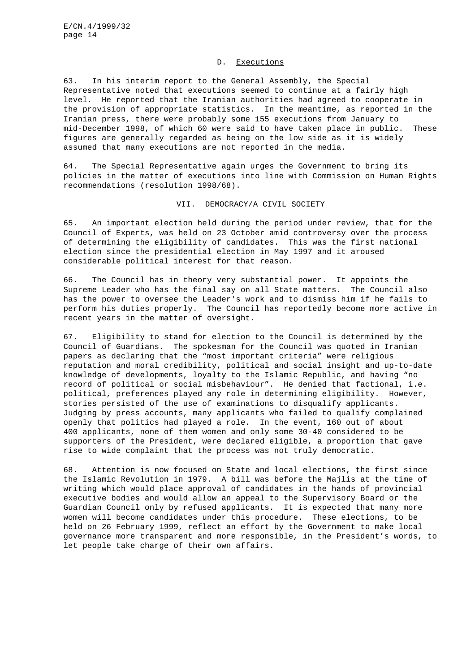## D. Executions

63. In his interim report to the General Assembly, the Special Representative noted that executions seemed to continue at a fairly high level. He reported that the Iranian authorities had agreed to cooperate in the provision of appropriate statistics. In the meantime, as reported in the Iranian press, there were probably some 155 executions from January to mid-December 1998, of which 60 were said to have taken place in public. These figures are generally regarded as being on the low side as it is widely assumed that many executions are not reported in the media.

64. The Special Representative again urges the Government to bring its policies in the matter of executions into line with Commission on Human Rights recommendations (resolution 1998/68).

#### VII. DEMOCRACY/A CIVIL SOCIETY

65. An important election held during the period under review, that for the Council of Experts, was held on 23 October amid controversy over the process of determining the eligibility of candidates. This was the first national election since the presidential election in May 1997 and it aroused considerable political interest for that reason.

66. The Council has in theory very substantial power. It appoints the Supreme Leader who has the final say on all State matters. The Council also has the power to oversee the Leader's work and to dismiss him if he fails to perform his duties properly. The Council has reportedly become more active in recent years in the matter of oversight.

67. Eligibility to stand for election to the Council is determined by the Council of Guardians. The spokesman for the Council was quoted in Iranian papers as declaring that the "most important criteria" were religious reputation and moral credibility, political and social insight and up-to-date knowledge of developments, loyalty to the Islamic Republic, and having "no record of political or social misbehaviour". He denied that factional, i.e. political, preferences played any role in determining eligibility. However, stories persisted of the use of examinations to disqualify applicants. Judging by press accounts, many applicants who failed to qualify complained openly that politics had played a role. In the event, 160 out of about 400 applicants, none of them women and only some 30-40 considered to be supporters of the President, were declared eligible, a proportion that gave rise to wide complaint that the process was not truly democratic.

68. Attention is now focused on State and local elections, the first since the Islamic Revolution in 1979. A bill was before the Majlis at the time of writing which would place approval of candidates in the hands of provincial executive bodies and would allow an appeal to the Supervisory Board or the Guardian Council only by refused applicants. It is expected that many more women will become candidates under this procedure. These elections, to be held on 26 February 1999, reflect an effort by the Government to make local governance more transparent and more responsible, in the President's words, to let people take charge of their own affairs.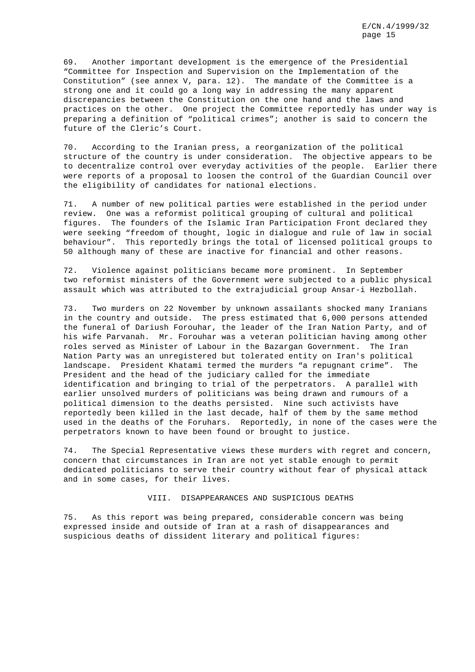69. Another important development is the emergence of the Presidential "Committee for Inspection and Supervision on the Implementation of the Constitution" (see annex V, para. 12). The mandate of the Committee is a strong one and it could go a long way in addressing the many apparent discrepancies between the Constitution on the one hand and the laws and practices on the other. One project the Committee reportedly has under way is preparing a definition of "political crimes"; another is said to concern the future of the Cleric's Court.

70. According to the Iranian press, a reorganization of the political structure of the country is under consideration. The objective appears to be to decentralize control over everyday activities of the people. Earlier there were reports of a proposal to loosen the control of the Guardian Council over the eligibility of candidates for national elections.

71. A number of new political parties were established in the period under review. One was a reformist political grouping of cultural and political figures. The founders of the Islamic Iran Participation Front declared they were seeking "freedom of thought, logic in dialogue and rule of law in social behaviour". This reportedly brings the total of licensed political groups to 50 although many of these are inactive for financial and other reasons.

72. Violence against politicians became more prominent. In September two reformist ministers of the Government were subjected to a public physical assault which was attributed to the extrajudicial group Ansar-i Hezbollah.

73. Two murders on 22 November by unknown assailants shocked many Iranians in the country and outside. The press estimated that 6,000 persons attended the funeral of Dariush Forouhar, the leader of the Iran Nation Party, and of his wife Parvanah. Mr. Forouhar was a veteran politician having among other roles served as Minister of Labour in the Bazargan Government. The Iran Nation Party was an unregistered but tolerated entity on Iran's political landscape. President Khatami termed the murders "a repugnant crime". The President and the head of the judiciary called for the immediate identification and bringing to trial of the perpetrators. A parallel with earlier unsolved murders of politicians was being drawn and rumours of a political dimension to the deaths persisted. Nine such activists have reportedly been killed in the last decade, half of them by the same method used in the deaths of the Foruhars. Reportedly, in none of the cases were the perpetrators known to have been found or brought to justice.

74. The Special Representative views these murders with regret and concern, concern that circumstances in Iran are not yet stable enough to permit dedicated politicians to serve their country without fear of physical attack and in some cases, for their lives.

## VIII. DISAPPEARANCES AND SUSPICIOUS DEATHS

75. As this report was being prepared, considerable concern was being expressed inside and outside of Iran at a rash of disappearances and suspicious deaths of dissident literary and political figures: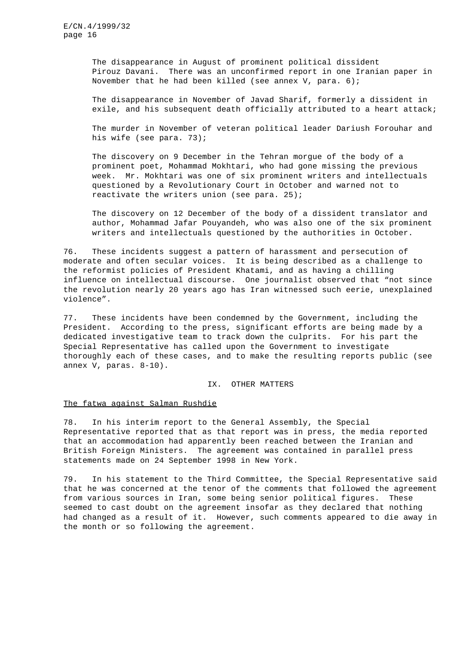The disappearance in August of prominent political dissident Pirouz Davani. There was an unconfirmed report in one Iranian paper in November that he had been killed (see annex V, para. 6);

The disappearance in November of Javad Sharif, formerly a dissident in exile, and his subsequent death officially attributed to a heart attack;

The murder in November of veteran political leader Dariush Forouhar and his wife (see para. 73);

The discovery on 9 December in the Tehran morgue of the body of a prominent poet, Mohammad Mokhtari, who had gone missing the previous week. Mr. Mokhtari was one of six prominent writers and intellectuals questioned by a Revolutionary Court in October and warned not to reactivate the writers union (see para. 25);

The discovery on 12 December of the body of a dissident translator and author, Mohammad Jafar Pouyandeh, who was also one of the six prominent writers and intellectuals questioned by the authorities in October.

76. These incidents suggest a pattern of harassment and persecution of moderate and often secular voices. It is being described as a challenge to the reformist policies of President Khatami, and as having a chilling influence on intellectual discourse. One journalist observed that "not since the revolution nearly 20 years ago has Iran witnessed such eerie, unexplained violence".

77. These incidents have been condemned by the Government, including the President. According to the press, significant efforts are being made by a dedicated investigative team to track down the culprits. For his part the Special Representative has called upon the Government to investigate thoroughly each of these cases, and to make the resulting reports public (see annex V, paras. 8-10).

### IX. OTHER MATTERS

#### The fatwa against Salman Rushdie

78. In his interim report to the General Assembly, the Special Representative reported that as that report was in press, the media reported that an accommodation had apparently been reached between the Iranian and British Foreign Ministers. The agreement was contained in parallel press statements made on 24 September 1998 in New York.

79. In his statement to the Third Committee, the Special Representative said that he was concerned at the tenor of the comments that followed the agreement from various sources in Iran, some being senior political figures. These seemed to cast doubt on the agreement insofar as they declared that nothing had changed as a result of it. However, such comments appeared to die away in the month or so following the agreement.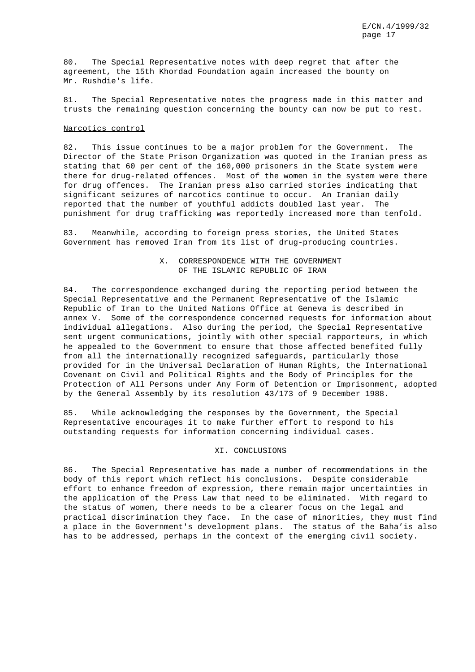80. The Special Representative notes with deep regret that after the agreement, the 15th Khordad Foundation again increased the bounty on Mr. Rushdie's life.

81. The Special Representative notes the progress made in this matter and trusts the remaining question concerning the bounty can now be put to rest.

## Narcotics control

82. This issue continues to be a major problem for the Government. The Director of the State Prison Organization was quoted in the Iranian press as stating that 60 per cent of the 160,000 prisoners in the State system were there for drug-related offences. Most of the women in the system were there for drug offences. The Iranian press also carried stories indicating that significant seizures of narcotics continue to occur. An Iranian daily reported that the number of youthful addicts doubled last year. The punishment for drug trafficking was reportedly increased more than tenfold.

83. Meanwhile, according to foreign press stories, the United States Government has removed Iran from its list of drug-producing countries.

## X. CORRESPONDENCE WITH THE GOVERNMENT OF THE ISLAMIC REPUBLIC OF IRAN

84. The correspondence exchanged during the reporting period between the Special Representative and the Permanent Representative of the Islamic Republic of Iran to the United Nations Office at Geneva is described in annex V. Some of the correspondence concerned requests for information about individual allegations. Also during the period, the Special Representative sent urgent communications, jointly with other special rapporteurs, in which he appealed to the Government to ensure that those affected benefited fully from all the internationally recognized safeguards, particularly those provided for in the Universal Declaration of Human Rights, the International Covenant on Civil and Political Rights and the Body of Principles for the Protection of All Persons under Any Form of Detention or Imprisonment, adopted by the General Assembly by its resolution 43/173 of 9 December 1988.

85. While acknowledging the responses by the Government, the Special Representative encourages it to make further effort to respond to his outstanding requests for information concerning individual cases.

## XI. CONCLUSIONS

86. The Special Representative has made a number of recommendations in the body of this report which reflect his conclusions. Despite considerable effort to enhance freedom of expression, there remain major uncertainties in the application of the Press Law that need to be eliminated. With regard to the status of women, there needs to be a clearer focus on the legal and practical discrimination they face. In the case of minorities, they must find a place in the Government's development plans. The status of the Baha'is also has to be addressed, perhaps in the context of the emerging civil society.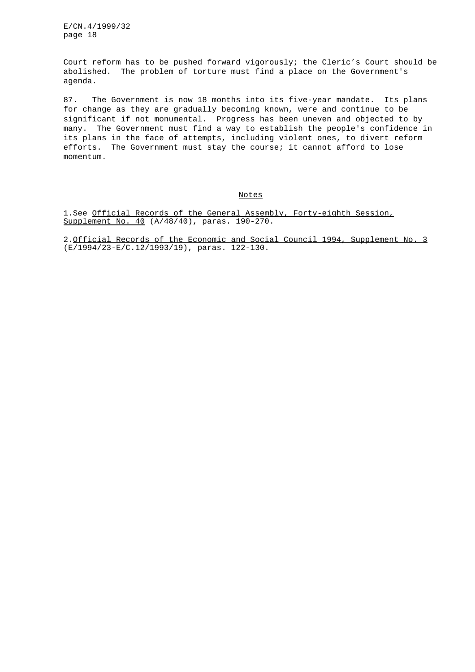Court reform has to be pushed forward vigorously; the Cleric's Court should be abolished. The problem of torture must find a place on the Government's agenda.

87. The Government is now 18 months into its five-year mandate. Its plans for change as they are gradually becoming known, were and continue to be significant if not monumental. Progress has been uneven and objected to by many. The Government must find a way to establish the people's confidence in its plans in the face of attempts, including violent ones, to divert reform efforts. The Government must stay the course; it cannot afford to lose momentum.

Notes

1.See Official Records of the General Assembly, Forty-eighth Session, Supplement No. 40 (A/48/40), paras. 190-270.

2.Official Records of the Economic and Social Council 1994, Supplement No. 3 (E/1994/23-E/C.12/1993/19), paras. 122-130.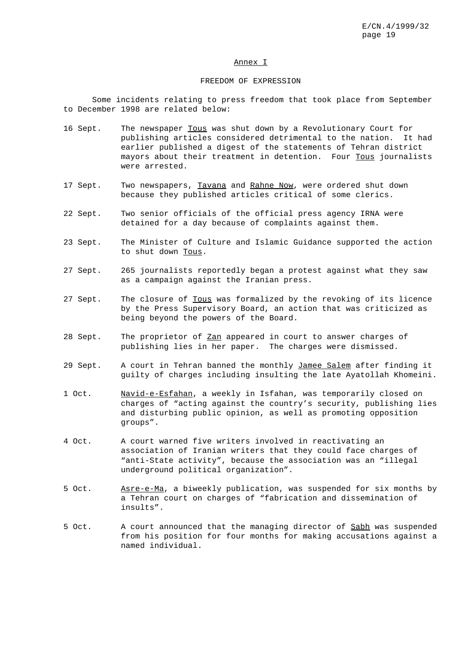#### Annex I

#### FREEDOM OF EXPRESSION

Some incidents relating to press freedom that took place from September to December 1998 are related below:

- 16 Sept. The newspaper Tous was shut down by a Revolutionary Court for publishing articles considered detrimental to the nation. It had earlier published a digest of the statements of Tehran district mayors about their treatment in detention. Four Tous journalists were arrested.
- 17 Sept. Two newspapers, Tavana and Rahne Now, were ordered shut down because they published articles critical of some clerics.
- 22 Sept. Two senior officials of the official press agency IRNA were detained for a day because of complaints against them.
- 23 Sept. The Minister of Culture and Islamic Guidance supported the action to shut down Tous.
- 27 Sept. 265 journalists reportedly began a protest against what they saw as a campaign against the Iranian press.
- 27 Sept. The closure of Tous was formalized by the revoking of its licence by the Press Supervisory Board, an action that was criticized as being beyond the powers of the Board.
- 28 Sept. The proprietor of Zan appeared in court to answer charges of publishing lies in her paper. The charges were dismissed.
- 29 Sept. A court in Tehran banned the monthly Jamee Salem after finding it guilty of charges including insulting the late Ayatollah Khomeini.
- 1 Oct. Navid-e-Esfahan, a weekly in Isfahan, was temporarily closed on charges of "acting against the country's security, publishing lies and disturbing public opinion, as well as promoting opposition groups".
- 4 Oct. A court warned five writers involved in reactivating an association of Iranian writers that they could face charges of "anti-State activity", because the association was an "illegal underground political organization".
- 5 Oct. Asre-e-Ma, a biweekly publication, was suspended for six months by a Tehran court on charges of "fabrication and dissemination of insults".
- 5 Oct. A court announced that the managing director of Sabh was suspended from his position for four months for making accusations against a named individual.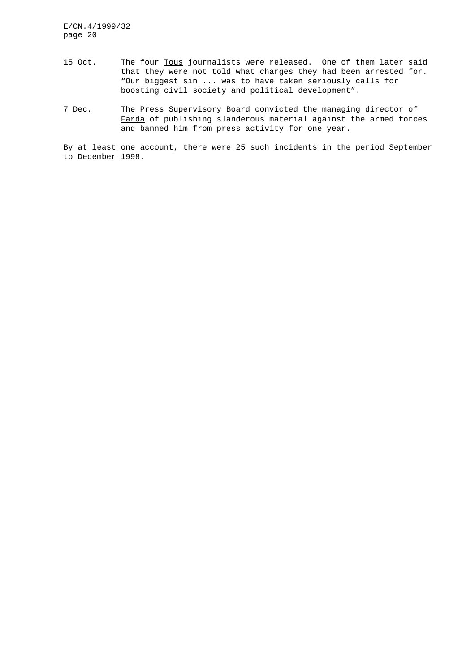- 15 Oct. The four Tous journalists were released. One of them later said that they were not told what charges they had been arrested for. "Our biggest sin ... was to have taken seriously calls for boosting civil society and political development".
- 7 Dec. The Press Supervisory Board convicted the managing director of Farda of publishing slanderous material against the armed forces and banned him from press activity for one year.

By at least one account, there were 25 such incidents in the period September to December 1998.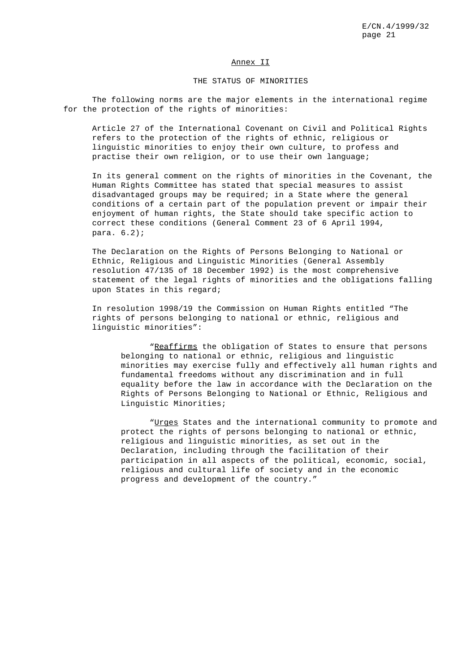#### Annex II

## THE STATUS OF MINORITIES

The following norms are the major elements in the international regime for the protection of the rights of minorities:

Article 27 of the International Covenant on Civil and Political Rights refers to the protection of the rights of ethnic, religious or linguistic minorities to enjoy their own culture, to profess and practise their own religion, or to use their own language;

In its general comment on the rights of minorities in the Covenant, the Human Rights Committee has stated that special measures to assist disadvantaged groups may be required; in a State where the general conditions of a certain part of the population prevent or impair their enjoyment of human rights, the State should take specific action to correct these conditions (General Comment 23 of 6 April 1994, para. 6.2);

The Declaration on the Rights of Persons Belonging to National or Ethnic, Religious and Linguistic Minorities (General Assembly resolution 47/135 of 18 December 1992) is the most comprehensive statement of the legal rights of minorities and the obligations falling upon States in this regard;

In resolution 1998/19 the Commission on Human Rights entitled "The rights of persons belonging to national or ethnic, religious and linguistic minorities":

"Reaffirms the obligation of States to ensure that persons belonging to national or ethnic, religious and linguistic minorities may exercise fully and effectively all human rights and fundamental freedoms without any discrimination and in full equality before the law in accordance with the Declaration on the Rights of Persons Belonging to National or Ethnic, Religious and Linguistic Minorities;

"Urges States and the international community to promote and protect the rights of persons belonging to national or ethnic, religious and linguistic minorities, as set out in the Declaration, including through the facilitation of their participation in all aspects of the political, economic, social, religious and cultural life of society and in the economic progress and development of the country."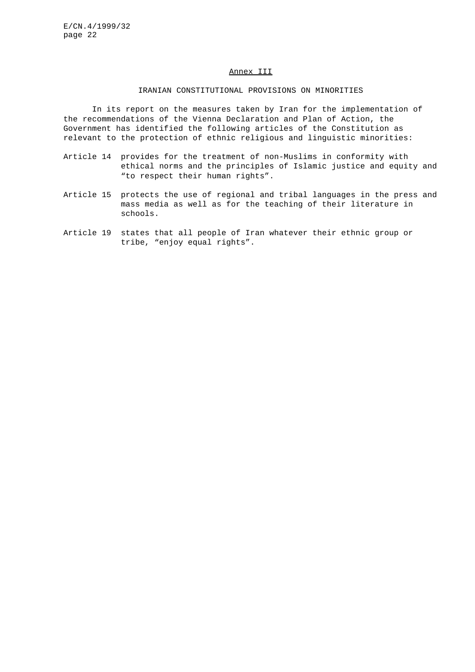## Annex III

## IRANIAN CONSTITUTIONAL PROVISIONS ON MINORITIES

In its report on the measures taken by Iran for the implementation of the recommendations of the Vienna Declaration and Plan of Action, the Government has identified the following articles of the Constitution as relevant to the protection of ethnic religious and linguistic minorities:

- Article 14 provides for the treatment of non-Muslims in conformity with ethical norms and the principles of Islamic justice and equity and "to respect their human rights".
- Article 15 protects the use of regional and tribal languages in the press and mass media as well as for the teaching of their literature in schools.
- Article 19 states that all people of Iran whatever their ethnic group or tribe, "enjoy equal rights".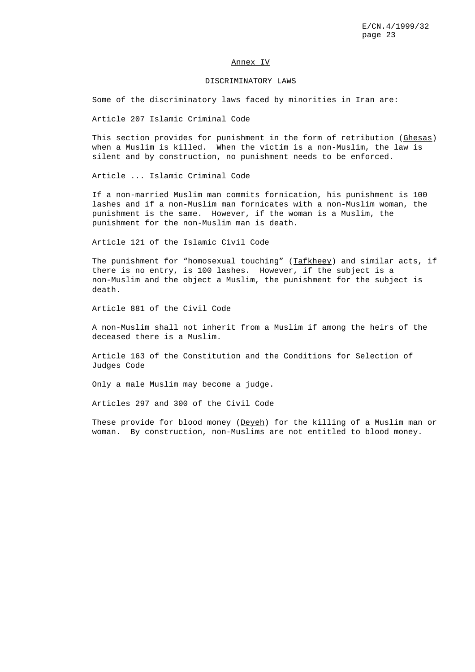#### Annex IV

#### DISCRIMINATORY LAWS

Some of the discriminatory laws faced by minorities in Iran are:

Article 207 Islamic Criminal Code

This section provides for punishment in the form of retribution (Ghesas) when a Muslim is killed. When the victim is a non-Muslim, the law is silent and by construction, no punishment needs to be enforced.

Article ... Islamic Criminal Code

If a non-married Muslim man commits fornication, his punishment is 100 lashes and if a non-Muslim man fornicates with a non-Muslim woman, the punishment is the same. However, if the woman is a Muslim, the punishment for the non-Muslim man is death.

Article 121 of the Islamic Civil Code

The punishment for "homosexual touching" ( $Tafkhee$ ) and similar acts, if there is no entry, is 100 lashes. However, if the subject is a non-Muslim and the object a Muslim, the punishment for the subject is death.

Article 881 of the Civil Code

A non-Muslim shall not inherit from a Muslim if among the heirs of the deceased there is a Muslim.

Article 163 of the Constitution and the Conditions for Selection of Judges Code

Only a male Muslim may become a judge.

Articles 297 and 300 of the Civil Code

These provide for blood money (Deyeh) for the killing of a Muslim man or woman. By construction, non-Muslims are not entitled to blood money.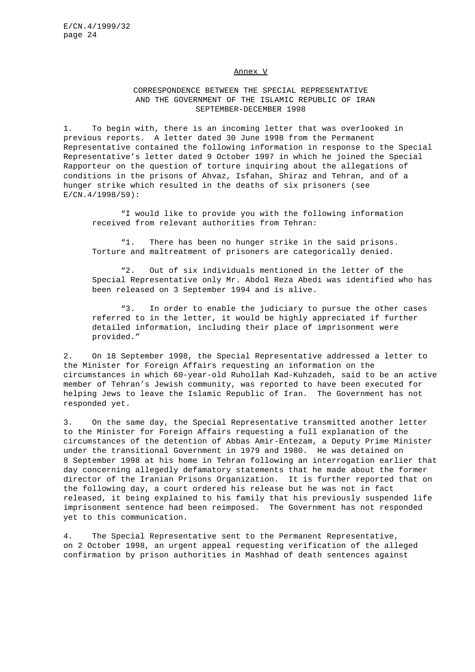#### Annex V

# CORRESPONDENCE BETWEEN THE SPECIAL REPRESENTATIVE AND THE GOVERNMENT OF THE ISLAMIC REPUBLIC OF IRAN SEPTEMBER-DECEMBER 1998

1. To begin with, there is an incoming letter that was overlooked in previous reports. A letter dated 30 June 1998 from the Permanent Representative contained the following information in response to the Special Representative's letter dated 9 October 1997 in which he joined the Special Rapporteur on the question of torture inquiring about the allegations of conditions in the prisons of Ahvaz, Isfahan, Shiraz and Tehran, and of a hunger strike which resulted in the deaths of six prisoners (see E/CN.4/1998/59):

"I would like to provide you with the following information received from relevant authorities from Tehran:

"1. There has been no hunger strike in the said prisons. Torture and maltreatment of prisoners are categorically denied.

"2. Out of six individuals mentioned in the letter of the Special Representative only Mr. Abdol Reza Abedi was identified who has been released on 3 September 1994 and is alive.

"3. In order to enable the judiciary to pursue the other cases referred to in the letter, it would be highly appreciated if further detailed information, including their place of imprisonment were provided."

2. On 18 September 1998, the Special Representative addressed a letter to the Minister for Foreign Affairs requesting an information on the circumstances in which 60-year-old Ruhollah Kad-Kuhzadeh, said to be an active member of Tehran's Jewish community, was reported to have been executed for helping Jews to leave the Islamic Republic of Iran. The Government has not responded yet.

3. On the same day, the Special Representative transmitted another letter to the Minister for Foreign Affairs requesting a full explanation of the circumstances of the detention of Abbas Amir-Entezam, a Deputy Prime Minister under the transitional Government in 1979 and 1980. He was detained on 8 September 1998 at his home in Tehran following an interrogation earlier that day concerning allegedly defamatory statements that he made about the former director of the Iranian Prisons Organization. It is further reported that on the following day, a court ordered his release but he was not in fact released, it being explained to his family that his previously suspended life imprisonment sentence had been reimposed. The Government has not responded yet to this communication.

4. The Special Representative sent to the Permanent Representative, on 2 October 1998, an urgent appeal requesting verification of the alleged confirmation by prison authorities in Mashhad of death sentences against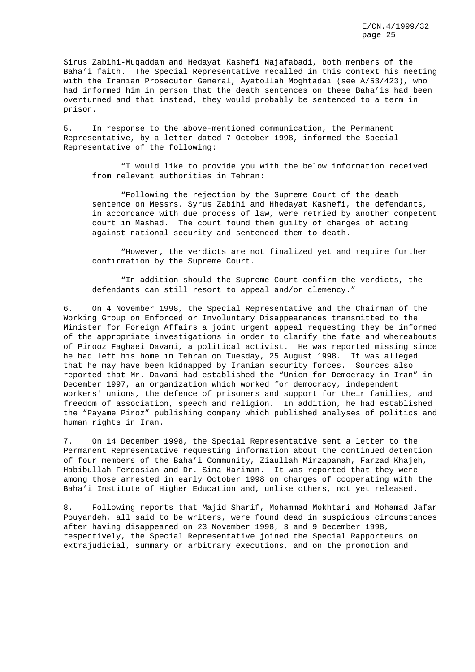Sirus Zabihi-Muqaddam and Hedayat Kashefi Najafabadi, both members of the Baha'i faith. The Special Representative recalled in this context his meeting with the Iranian Prosecutor General, Ayatollah Moghtadai (see A/53/423), who had informed him in person that the death sentences on these Baha'is had been overturned and that instead, they would probably be sentenced to a term in prison.

5. In response to the above-mentioned communication, the Permanent Representative, by a letter dated 7 October 1998, informed the Special Representative of the following:

"I would like to provide you with the below information received from relevant authorities in Tehran:

"Following the rejection by the Supreme Court of the death sentence on Messrs. Syrus Zabihi and Hhedayat Kashefi, the defendants, in accordance with due process of law, were retried by another competent court in Mashad. The court found them guilty of charges of acting against national security and sentenced them to death.

"However, the verdicts are not finalized yet and require further confirmation by the Supreme Court.

"In addition should the Supreme Court confirm the verdicts, the defendants can still resort to appeal and/or clemency."

6. On 4 November 1998, the Special Representative and the Chairman of the Working Group on Enforced or Involuntary Disappearances transmitted to the Minister for Foreign Affairs a joint urgent appeal requesting they be informed of the appropriate investigations in order to clarify the fate and whereabouts of Pirooz Faghaei Davani, a political activist. He was reported missing since he had left his home in Tehran on Tuesday, 25 August 1998. It was alleged that he may have been kidnapped by Iranian security forces. Sources also reported that Mr. Davani had established the "Union for Democracy in Iran" in December 1997, an organization which worked for democracy, independent workers' unions, the defence of prisoners and support for their families, and freedom of association, speech and religion. In addition, he had established the "Payame Piroz" publishing company which published analyses of politics and human rights in Iran.

7. On 14 December 1998, the Special Representative sent a letter to the Permanent Representative requesting information about the continued detention of four members of the Baha'i Community, Ziaullah Mirzapanah, Farzad Khajeh, Habibullah Ferdosian and Dr. Sina Hariman. It was reported that they were among those arrested in early October 1998 on charges of cooperating with the Baha'i Institute of Higher Education and, unlike others, not yet released.

8. Following reports that Majid Sharif, Mohammad Mokhtari and Mohamad Jafar Pouyandeh, all said to be writers, were found dead in suspicious circumstances after having disappeared on 23 November 1998, 3 and 9 December 1998, respectively, the Special Representative joined the Special Rapporteurs on extrajudicial, summary or arbitrary executions, and on the promotion and